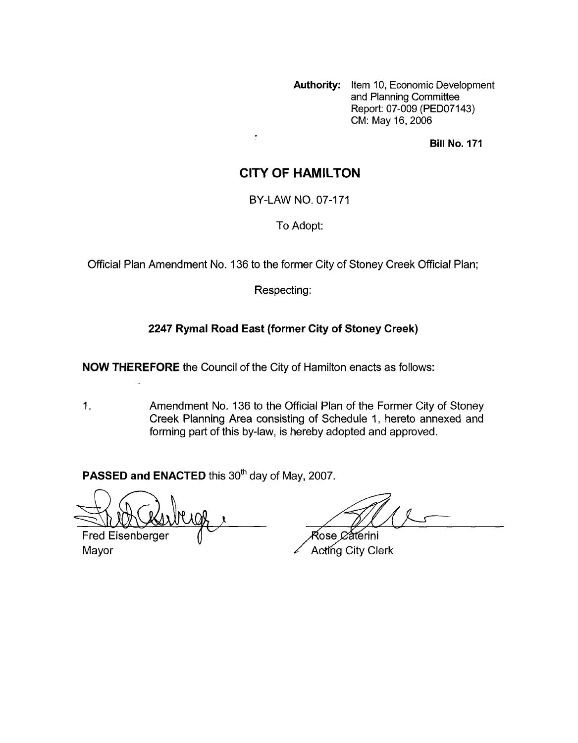**Authority:** Item 10, Economic Development and Planning Committee Report: 07-009 (PED07143) CM: May 16,2006

**Bill No. 171** 

## **CITY OF HAMILTON**

BY-LAW NO. 07-171

To Adopt:

Official Plan Amendment No. 136 to the former City of Stoney Creek Official Plan;

Respecting:

### **2247 Rymal Road East (former City of Stoney Creek)**

**NOW THEREFORE** the Council of the City of Hamilton enacts as follows:

 $\frac{\pi}{4}$ 

1. Amendment No. 136 to the Official Plan of the Former City of Stoney Creek Planning Area consisting of Schedule 1, hereto annexed and foming part of this by-law, is hereby adopted and approved.

**PASSED and ENACTED** this 30<sup>th</sup> day of May, 2007.

**Fred Eisenberger** 

Rose *C*átérini Mayor **Mayor** Acting City Clerk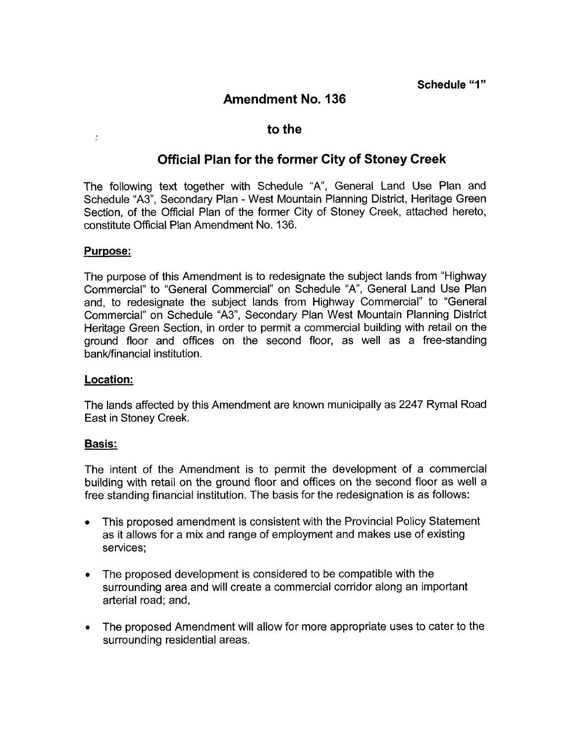# **Amendment No. 136**

### **to the**

## **Official Plan for the former City of Stoney Creek**

The following text together with Schedule "A', General Land Use Plan and Schedule "A3", Secondary Plan - West Mountain Planning District, Heritage Green Section, of the Official Plan of the former City of Stoney Creek, attached hereto, constitute Official Plan Amendment No. 136.

### Purpose:

 $\frac{1}{2}$ 

The purpose of this Amendment is to redesignate the subject lands from "Highway Commercial" to "General Commercial" on Schedule "A", General Land Use Plan and, to redesignate the subject lands from Highway Commercial" to "General Commercial" on Schedule "A3", Secondary Plan West Mountain Planning District Heritage Green Section, in order to permit a commercial building with retail on the ground floor and offices on the second floor, as well as a free-standing bank/financial institution.

#### **Location:**

The lands affected by this Amendment are known municipally as 2247 Rymal Road East in Stoney Creek.

#### Basis:

The intent of the Amendment is to permit the development of a commercial building with retail on the ground floor and offices on the second floor as well a free standing financial institution. The basis for the redesignation is as follows:

- This proposed amendment is consistent with the Provincial Policy Statement as it allows for a mix and range of employment and makes use of existing services;
- The proposed development is considered to be compatible with the surrounding area and will create a commercial corridor along an important arterial road; and,
- *<sup>0</sup>*The proposed Amendment will allow for more appropriate uses to cater to the surrounding residential areas.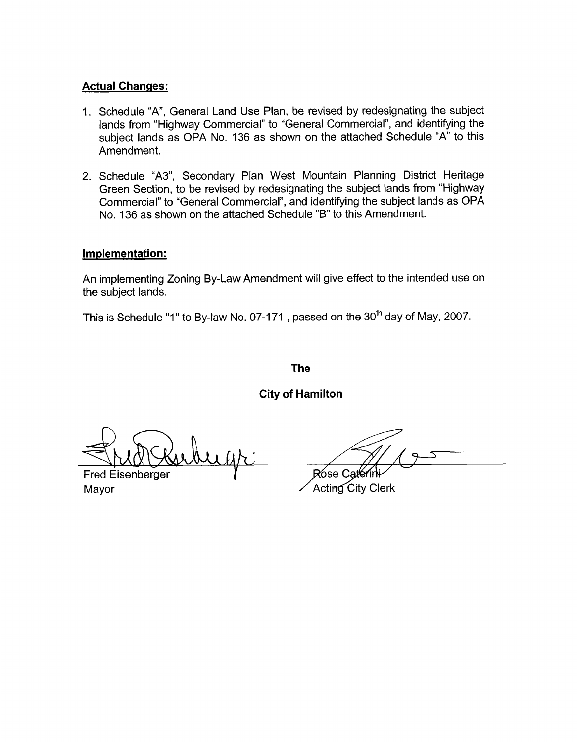### **Actual Changes:**

- 1. Schedule "A', General Land Use Plan, be revised by redesignating the subject lands from "Highway Commercial" to "General Commercial", and identifying the subject lands as OPA No. 136 as shown on the attached Schedule "A" to this Amendment.
- 2. Schedule "A3", Secondary Plan West Mountain Planning District Heritage Green Section, to be revised by redesignating the subject lands from "Highway Commercial" to "General Commercial", and identifying the subject lands as OPA No. 136 as shown on the attached Schedule "B" to this Amendment.

#### **Implementation:**

An implementing Zoning By-Law Amendment will give effect to the intended use on the subject lands.

This is Schedule "1" to By-law No. 07-171, passed on the 30<sup>th</sup> day of May, 2007.

**The** 

**City of Hamilton** 

**Fred Eisenberger** 

Rose Ca

Mayor / Acting City Clerk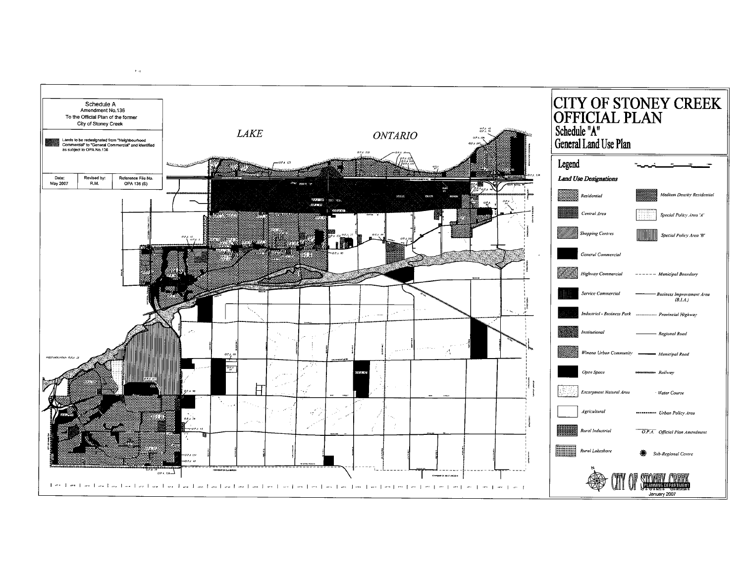